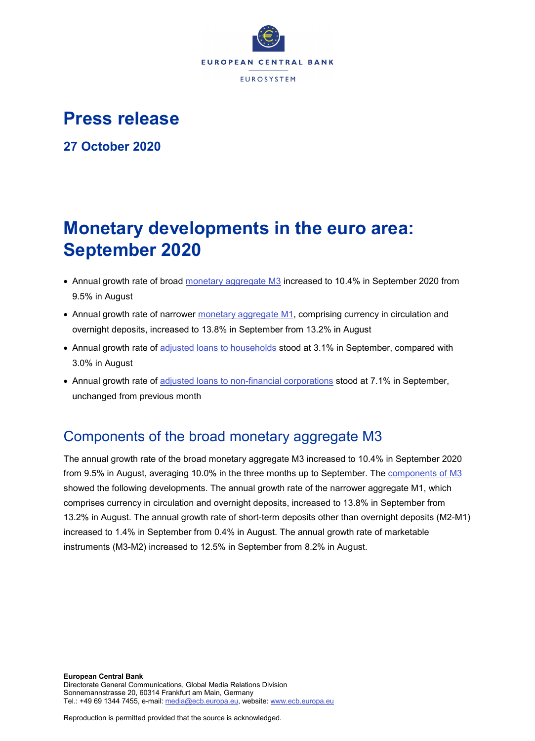

# **Press release**

**27 October 2020**

# **Monetary developments in the euro area: September 2020**

- Annual growth rate of broad [monetary aggregate M3](http://sdw.ecb.europa.eu/browseSelection.do?type=series&q=BSI.M.U2.Y.V.M30.X.I.U2.2300.Z01.A&node=SEARCHRESULTS) increased to 10.4% in September 2020 from 9.5% in August
- Annual growth rate of narrower [monetary aggregate M1,](http://sdw.ecb.europa.eu/browseSelection.do?type=series&q=BSI.M.U2.Y.V.M10.X.I.U2.2300.Z01.A&node=SEARCHRESULTS) comprising currency in circulation and overnight deposits, increased to 13.8% in September from 13.2% in August
- Annual growth rate of [adjusted loans to households](http://sdw.ecb.europa.eu/browseSelection.do?type=series&q=BSI.M.U2.Y.U.A20T.A.I.U2.2250.Z01.A&node=SEARCHRESULTS) stood at 3.1% in September, compared with 3.0% in August
- Annual growth rate of [adjusted loans to non-financial corporations](http://sdw.ecb.europa.eu/browseSelection.do?type=series&q=BSI.M.U2.Y.U.A20T.A.I.U2.2240.Z01.A&node=SEARCHRESULTS) stood at 7.1% in September, unchanged from previous month

## Components of the broad monetary aggregate M3

The annual growth rate of the broad monetary aggregate M3 increased to 10.4% in September 2020 from 9.5% in August, averaging 10.0% in the three months up to September. The [components of M3](http://sdw.ecb.europa.eu/browseSelection.do?type=series&q=BSI.M.U2.Y.V.M30.X.I.U2.2300.Z01.A+BSI.M.U2.Y.V.M10.X.I.U2.2300.Z01.A+BSI.M.U2.Y.V.L2A.M.I.U2.2300.Z01.A+BSI.M.U2.Y.V.LT3.L.I.U2.2300.Z01.A&node=SEARCHRESULTS) showed the following developments. The annual growth rate of the narrower aggregate M1, which comprises currency in circulation and overnight deposits, increased to 13.8% in September from 13.2% in August. The annual growth rate of short-term deposits other than overnight deposits (M2-M1) increased to 1.4% in September from 0.4% in August. The annual growth rate of marketable instruments (M3-M2) increased to 12.5% in September from 8.2% in August.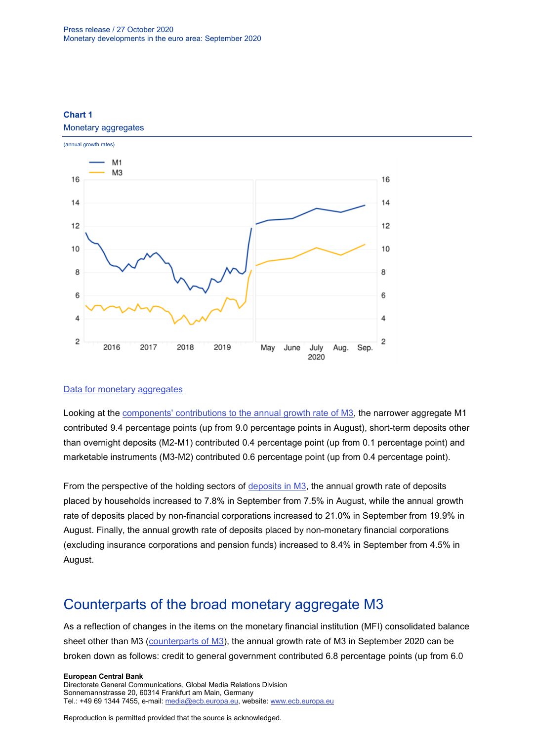

### **Chart 1**

#### [Data for monetary aggregates](http://sdw.ecb.europa.eu/browseSelection.do?type=series&q=BSI.M.U2.Y.V.M30.X.I.U2.2300.Z01.A+BSI.M.U2.Y.V.M10.X.I.U2.2300.Z01.A&node=SEARCHRESULTS)

Looking at the [components' contributions to the annual growth rate of M3,](http://sdw.ecb.europa.eu/browseSelection.do?type=series&q=BSI.M.U2.Y.V.M10.X.Q.U2.2300.Z01.F+BSI.M.U2.Y.V.L2A.M.Q.U2.2300.Z01.F+BSI.M.U2.Y.V.LT3.L.Q.U2.2300.Z01.F&node=SEARCHRESULTS) the narrower aggregate M1 contributed 9.4 percentage points (up from 9.0 percentage points in August), short-term deposits other than overnight deposits (M2-M1) contributed 0.4 percentage point (up from 0.1 percentage point) and marketable instruments (M3-M2) contributed 0.6 percentage point (up from 0.4 percentage point).

From the perspective of the holding sectors of [deposits in M3,](http://sdw.ecb.europa.eu/browseSelection.do?type=series&q=BSI.M.U2.Y.V.L2C.M.I.U2.2250.Z01.A+BSI.M.U2.Y.V.L2C.M.I.U2.2240.Z01.A+BSI.M.U2.Y.V.L2C.M.I.U2.2210.Z01.A&node=SEARCHRESULTS) the annual growth rate of deposits placed by households increased to 7.8% in September from 7.5% in August, while the annual growth rate of deposits placed by non-financial corporations increased to 21.0% in September from 19.9% in August. Finally, the annual growth rate of deposits placed by non-monetary financial corporations (excluding insurance corporations and pension funds) increased to 8.4% in September from 4.5% in August.

## Counterparts of the broad monetary aggregate M3

As a reflection of changes in the items on the monetary financial institution (MFI) consolidated balance sheet other than M3 [\(counterparts of M3\)](http://sdw.ecb.europa.eu/browseSelection.do?type=series&q=BSI.M.U2.Y.V.M30.X.I.U2.2300.Z01.A+BSI.M.U2.Y.U.LT2.X.Q.Z5.0000.Z01.F+BSI.M.U2.Y.U.A80.A.Q.U4.0000.Z01.F+BSI.M.U2.Y.U.AT2.A.Q.U2.2100.Z01.F+BSI.M.U2.Y.U.AT2.A.Q.U2.2200.Z01.F+BSI.M.U2.Y.U.R31A.X.Q.Z5.0000.Z01.F&node=SEARCHRESULTS), the annual growth rate of M3 in September 2020 can be broken down as follows: credit to general government contributed 6.8 percentage points (up from 6.0

#### **European Central Bank**

Directorate General Communications, Global Media Relations Division Sonnemannstrasse 20, 60314 Frankfurt am Main, Germany Tel.: +49 69 1344 7455, e-mail: [media@ecb.europa.eu,](mailto:media@ecb.europa.eu) website: [www.ecb.europa.eu](http://www.ecb.europa.eu/)

Reproduction is permitted provided that the source is acknowledged.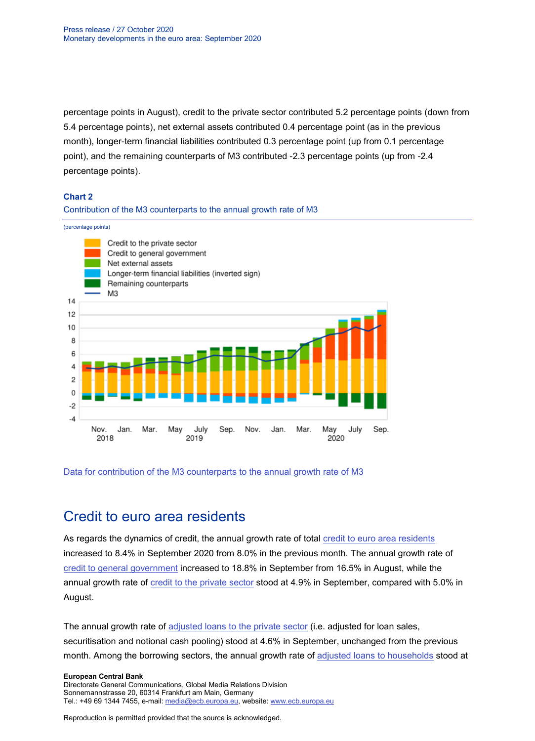percentage points in August), credit to the private sector contributed 5.2 percentage points (down from 5.4 percentage points), net external assets contributed 0.4 percentage point (as in the previous month), longer-term financial liabilities contributed 0.3 percentage point (up from 0.1 percentage point), and the remaining counterparts of M3 contributed -2.3 percentage points (up from -2.4 percentage points).

#### **Chart 2**

#### Contribution of the M3 counterparts to the annual growth rate of M3

(percentage points)



#### [Data for contribution of the M3 counterparts to the annual growth rate of M3](http://sdw.ecb.europa.eu/browseSelection.do?type=series&q=BSI.M.U2.Y.V.M30.X.I.U2.2300.Z01.A+BSI.M.U2.Y.U.LT2.X.Q.Z5.0000.Z01.F+BSI.M.U2.Y.U.A80.A.Q.U4.0000.Z01.F+BSI.M.U2.Y.U.AT2.A.Q.U2.2100.Z01.F+BSI.M.U2.Y.U.AT2.A.Q.U2.2200.Z01.F+BSI.M.U2.Y.U.R31A.X.Q.Z5.0000.Z01.F&node=SEARCHRESULTS)

## Credit to euro area residents

As regards the dynamics of credit, the annual growth rate of total [credit to euro area residents](http://sdw.ecb.europa.eu/browseSelection.do?type=series&q=BSI.M.U2.Y.U.AT2.A.I.U2.2000.Z01.A&node=SEARCHRESULTS) increased to 8.4% in September 2020 from 8.0% in the previous month. The annual growth rate of [credit to general government](http://sdw.ecb.europa.eu/browseSelection.do?type=series&q=BSI.M.U2.Y.U.AT2.A.I.U2.2100.Z01.A&node=SEARCHRESULTS) increased to 18.8% in September from 16.5% in August, while the annual growth rate of [credit to the private sector](http://sdw.ecb.europa.eu/browseSelection.do?type=series&q=BSI.M.U2.Y.U.AT2.A.I.U2.2200.Z01.A&node=SEARCHRESULTS) stood at 4.9% in September, compared with 5.0% in August.

The annual growth rate of [adjusted loans to the private sector](http://sdw.ecb.europa.eu/browseSelection.do?type=series&q=BSI.M.U2.Y.U.A20TA.A.I.U2.2200.Z01.A&node=SEARCHRESULTS) (i.e. adjusted for loan sales, securitisation and notional cash pooling) stood at 4.6% in September, unchanged from the previous month. Among the borrowing sectors, the annual growth rate of [adjusted loans to households](http://sdw.ecb.europa.eu/browseSelection.do?type=series&q=BSI.M.U2.Y.U.A20T.A.I.U2.2250.Z01.A&node=SEARCHRESULTS) stood at

#### **European Central Bank**

Directorate General Communications, Global Media Relations Division Sonnemannstrasse 20, 60314 Frankfurt am Main, Germany Tel.: +49 69 1344 7455, e-mail: [media@ecb.europa.eu,](mailto:media@ecb.europa.eu) website: [www.ecb.europa.eu](http://www.ecb.europa.eu/)

Reproduction is permitted provided that the source is acknowledged.